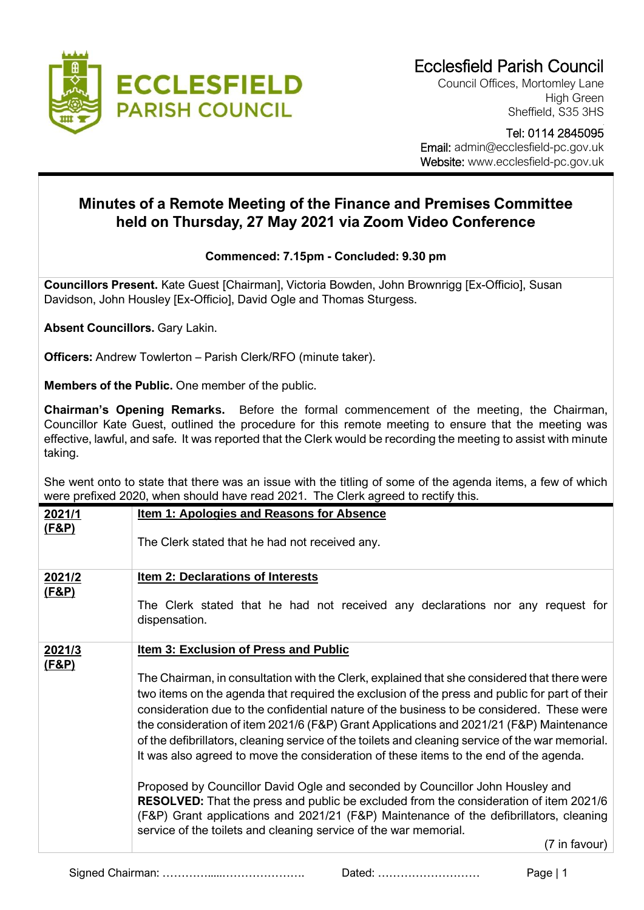

Council Offices, Mortomley Lane High Green Sheffield, S35 3HS

 Tel: 0114 2845095 Email: admin@ecclesfield-pc.gov.uk Website: www.ecclesfield-pc.gov.uk

## **Minutes of a Remote Meeting of the Finance and Premises Committee held on Thursday, 27 May 2021 via Zoom Video Conference**

## **Commenced: 7.15pm - Concluded: 9.30 pm**

**Councillors Present.** Kate Guest [Chairman], Victoria Bowden, John Brownrigg [Ex-Officio], Susan Davidson, John Housley [Ex-Officio], David Ogle and Thomas Sturgess.

**Absent Councillors.** Gary Lakin.

**Officers:** Andrew Towlerton – Parish Clerk/RFO (minute taker).

**Members of the Public.** One member of the public.

**Chairman's Opening Remarks.** Before the formal commencement of the meeting, the Chairman, Councillor Kate Guest, outlined the procedure for this remote meeting to ensure that the meeting was effective, lawful, and safe. It was reported that the Clerk would be recording the meeting to assist with minute taking.

She went onto to state that there was an issue with the titling of some of the agenda items, a few of which were prefixed 2020, when should have read 2021. The Clerk agreed to rectify this.

| 2021/1<br>(F&P)  | Item 1: Apologies and Reasons for Absence                                                                                                                  |
|------------------|------------------------------------------------------------------------------------------------------------------------------------------------------------|
|                  | The Clerk stated that he had not received any.                                                                                                             |
| 2021/2           | Item 2: Declarations of Interests                                                                                                                          |
| <u>(F&amp;P)</u> |                                                                                                                                                            |
|                  | The Clerk stated that he had not received any declarations nor any request for<br>dispensation.                                                            |
| 2021/3           | <b>Item 3: Exclusion of Press and Public</b>                                                                                                               |
| <u>(F&amp;P)</u> |                                                                                                                                                            |
|                  | The Chairman, in consultation with the Clerk, explained that she considered that there were                                                                |
|                  | two items on the agenda that required the exclusion of the press and public for part of their                                                              |
|                  | consideration due to the confidential nature of the business to be considered. These were                                                                  |
|                  | the consideration of item 2021/6 (F&P) Grant Applications and 2021/21 (F&P) Maintenance                                                                    |
|                  | of the defibrillators, cleaning service of the toilets and cleaning service of the war memorial.                                                           |
|                  | It was also agreed to move the consideration of these items to the end of the agenda.                                                                      |
|                  | Proposed by Councillor David Ogle and seconded by Councillor John Housley and                                                                              |
|                  | <b>RESOLVED:</b> That the press and public be excluded from the consideration of item 2021/6                                                               |
|                  | (F&P) Grant applications and 2021/21 (F&P) Maintenance of the defibrillators, cleaning<br>service of the toilets and cleaning service of the war memorial. |
|                  | (7 in favour)                                                                                                                                              |

Signed Chairman: ………….....…………………. Dated: ……………………… Page | 1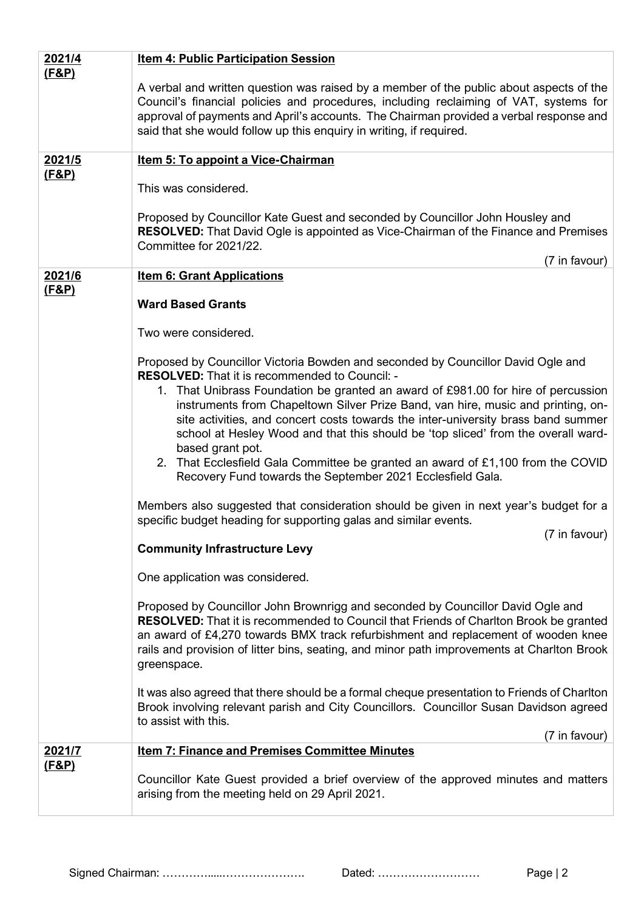| 2021/4           | <b>Item 4: Public Participation Session</b>                                                                                                                                                                                                                                                                                                                                                                                                                                                                                                                                                                                                                                                                                                                                                                                                                                             |
|------------------|-----------------------------------------------------------------------------------------------------------------------------------------------------------------------------------------------------------------------------------------------------------------------------------------------------------------------------------------------------------------------------------------------------------------------------------------------------------------------------------------------------------------------------------------------------------------------------------------------------------------------------------------------------------------------------------------------------------------------------------------------------------------------------------------------------------------------------------------------------------------------------------------|
| <u>(F&amp;P)</u> | A verbal and written question was raised by a member of the public about aspects of the<br>Council's financial policies and procedures, including reclaiming of VAT, systems for<br>approval of payments and April's accounts. The Chairman provided a verbal response and<br>said that she would follow up this enquiry in writing, if required.                                                                                                                                                                                                                                                                                                                                                                                                                                                                                                                                       |
| <u>2021/5</u>    | Item 5: To appoint a Vice-Chairman                                                                                                                                                                                                                                                                                                                                                                                                                                                                                                                                                                                                                                                                                                                                                                                                                                                      |
| (F&P)            | This was considered.                                                                                                                                                                                                                                                                                                                                                                                                                                                                                                                                                                                                                                                                                                                                                                                                                                                                    |
|                  | Proposed by Councillor Kate Guest and seconded by Councillor John Housley and<br><b>RESOLVED:</b> That David Ogle is appointed as Vice-Chairman of the Finance and Premises<br>Committee for 2021/22.<br>(7 in favour)                                                                                                                                                                                                                                                                                                                                                                                                                                                                                                                                                                                                                                                                  |
| 2021/6           | <b>Item 6: Grant Applications</b>                                                                                                                                                                                                                                                                                                                                                                                                                                                                                                                                                                                                                                                                                                                                                                                                                                                       |
| <u>(F&amp;P)</u> | <b>Ward Based Grants</b>                                                                                                                                                                                                                                                                                                                                                                                                                                                                                                                                                                                                                                                                                                                                                                                                                                                                |
|                  | Two were considered.                                                                                                                                                                                                                                                                                                                                                                                                                                                                                                                                                                                                                                                                                                                                                                                                                                                                    |
|                  | Proposed by Councillor Victoria Bowden and seconded by Councillor David Ogle and<br><b>RESOLVED:</b> That it is recommended to Council: -<br>1. That Unibrass Foundation be granted an award of £981.00 for hire of percussion<br>instruments from Chapeltown Silver Prize Band, van hire, music and printing, on-<br>site activities, and concert costs towards the inter-university brass band summer<br>school at Hesley Wood and that this should be 'top sliced' from the overall ward-<br>based grant pot.<br>2. That Ecclesfield Gala Committee be granted an award of £1,100 from the COVID<br>Recovery Fund towards the September 2021 Ecclesfield Gala.<br>Members also suggested that consideration should be given in next year's budget for a<br>specific budget heading for supporting galas and similar events.<br>(7 in favour)<br><b>Community Infrastructure Levy</b> |
|                  | One application was considered.                                                                                                                                                                                                                                                                                                                                                                                                                                                                                                                                                                                                                                                                                                                                                                                                                                                         |
|                  | Proposed by Councillor John Brownrigg and seconded by Councillor David Ogle and<br><b>RESOLVED:</b> That it is recommended to Council that Friends of Charlton Brook be granted<br>an award of £4,270 towards BMX track refurbishment and replacement of wooden knee<br>rails and provision of litter bins, seating, and minor path improvements at Charlton Brook<br>greenspace.                                                                                                                                                                                                                                                                                                                                                                                                                                                                                                       |
|                  | It was also agreed that there should be a formal cheque presentation to Friends of Charlton<br>Brook involving relevant parish and City Councillors. Councillor Susan Davidson agreed<br>to assist with this.<br>(7 in favour)                                                                                                                                                                                                                                                                                                                                                                                                                                                                                                                                                                                                                                                          |
| <u>2021/7</u>    | <b>Item 7: Finance and Premises Committee Minutes</b>                                                                                                                                                                                                                                                                                                                                                                                                                                                                                                                                                                                                                                                                                                                                                                                                                                   |
| <u>(F&amp;P)</u> | Councillor Kate Guest provided a brief overview of the approved minutes and matters<br>arising from the meeting held on 29 April 2021.                                                                                                                                                                                                                                                                                                                                                                                                                                                                                                                                                                                                                                                                                                                                                  |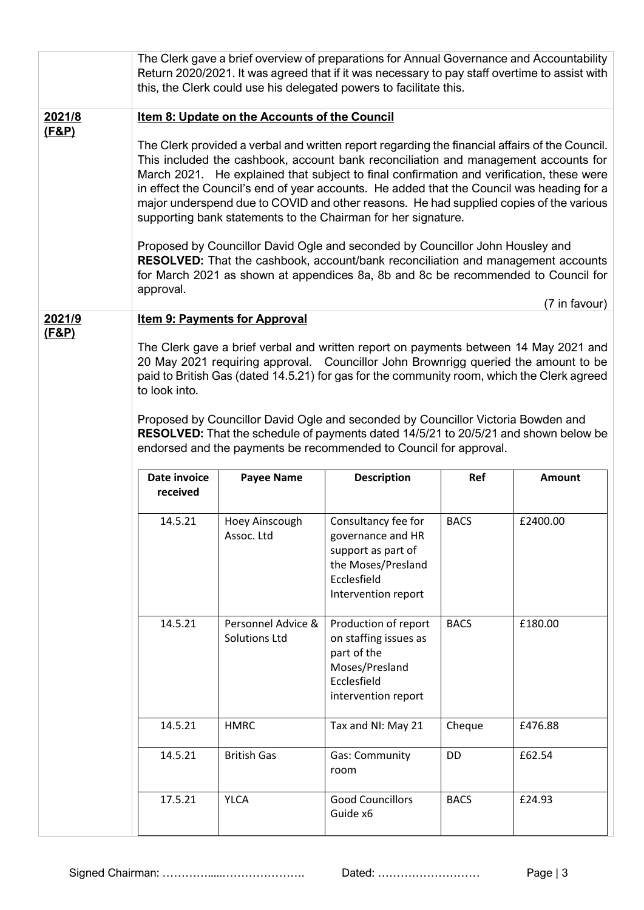|        |                                                                                                                                                                                                                                                                                                                                                                                                                                                                                                                                                                                                                                                                                                                                                                                                                  |                                            | The Clerk gave a brief overview of preparations for Annual Governance and Accountability<br>Return 2020/2021. It was agreed that if it was necessary to pay staff overtime to assist with<br>this, the Clerk could use his delegated powers to facilitate this. |             |               |  |
|--------|------------------------------------------------------------------------------------------------------------------------------------------------------------------------------------------------------------------------------------------------------------------------------------------------------------------------------------------------------------------------------------------------------------------------------------------------------------------------------------------------------------------------------------------------------------------------------------------------------------------------------------------------------------------------------------------------------------------------------------------------------------------------------------------------------------------|--------------------------------------------|-----------------------------------------------------------------------------------------------------------------------------------------------------------------------------------------------------------------------------------------------------------------|-------------|---------------|--|
| 2021/8 | <b>Item 8: Update on the Accounts of the Council</b>                                                                                                                                                                                                                                                                                                                                                                                                                                                                                                                                                                                                                                                                                                                                                             |                                            |                                                                                                                                                                                                                                                                 |             |               |  |
| (F&P)  | The Clerk provided a verbal and written report regarding the financial affairs of the Council.<br>This included the cashbook, account bank reconciliation and management accounts for<br>March 2021. He explained that subject to final confirmation and verification, these were<br>in effect the Council's end of year accounts. He added that the Council was heading for a<br>major underspend due to COVID and other reasons. He had supplied copies of the various<br>supporting bank statements to the Chairman for her signature.<br>Proposed by Councillor David Ogle and seconded by Councillor John Housley and<br>RESOLVED: That the cashbook, account/bank reconciliation and management accounts<br>for March 2021 as shown at appendices 8a, 8b and 8c be recommended to Council for<br>approval. |                                            |                                                                                                                                                                                                                                                                 |             |               |  |
| 2021/9 |                                                                                                                                                                                                                                                                                                                                                                                                                                                                                                                                                                                                                                                                                                                                                                                                                  | <b>Item 9: Payments for Approval</b>       |                                                                                                                                                                                                                                                                 |             | (7 in favour) |  |
| (F&P)  | The Clerk gave a brief verbal and written report on payments between 14 May 2021 and<br>20 May 2021 requiring approval. Councillor John Brownrigg queried the amount to be<br>paid to British Gas (dated 14.5.21) for gas for the community room, which the Clerk agreed<br>to look into.<br>Proposed by Councillor David Ogle and seconded by Councillor Victoria Bowden and<br>RESOLVED: That the schedule of payments dated 14/5/21 to 20/5/21 and shown below be<br>endorsed and the payments be recommended to Council for approval.                                                                                                                                                                                                                                                                        |                                            |                                                                                                                                                                                                                                                                 |             |               |  |
|        | Date invoice<br>received                                                                                                                                                                                                                                                                                                                                                                                                                                                                                                                                                                                                                                                                                                                                                                                         | <b>Payee Name</b>                          | <b>Description</b>                                                                                                                                                                                                                                              | Ref         | Amount        |  |
|        | 14.5.21                                                                                                                                                                                                                                                                                                                                                                                                                                                                                                                                                                                                                                                                                                                                                                                                          | Hoey Ainscough<br>Assoc. Ltd               | Consultancy fee for<br>governance and HR<br>support as part of<br>the Moses/Presland<br>Ecclesfield<br>Intervention report                                                                                                                                      | <b>BACS</b> | £2400.00      |  |
|        | 14.5.21                                                                                                                                                                                                                                                                                                                                                                                                                                                                                                                                                                                                                                                                                                                                                                                                          | Personnel Advice &<br><b>Solutions Ltd</b> | Production of report<br>on staffing issues as<br>part of the<br>Moses/Presland<br>Ecclesfield<br>intervention report                                                                                                                                            | <b>BACS</b> | £180.00       |  |
|        | 14.5.21                                                                                                                                                                                                                                                                                                                                                                                                                                                                                                                                                                                                                                                                                                                                                                                                          | <b>HMRC</b>                                | Tax and NI: May 21                                                                                                                                                                                                                                              | Cheque      | £476.88       |  |
|        | 14.5.21                                                                                                                                                                                                                                                                                                                                                                                                                                                                                                                                                                                                                                                                                                                                                                                                          | <b>British Gas</b>                         | Gas: Community<br>room                                                                                                                                                                                                                                          | DD          | £62.54        |  |
|        | 17.5.21                                                                                                                                                                                                                                                                                                                                                                                                                                                                                                                                                                                                                                                                                                                                                                                                          | <b>YLCA</b>                                | <b>Good Councillors</b><br>Guide x6                                                                                                                                                                                                                             | <b>BACS</b> | £24.93        |  |

Signed Chairman: ………….....…………………. Dated: ……………………… Page | 3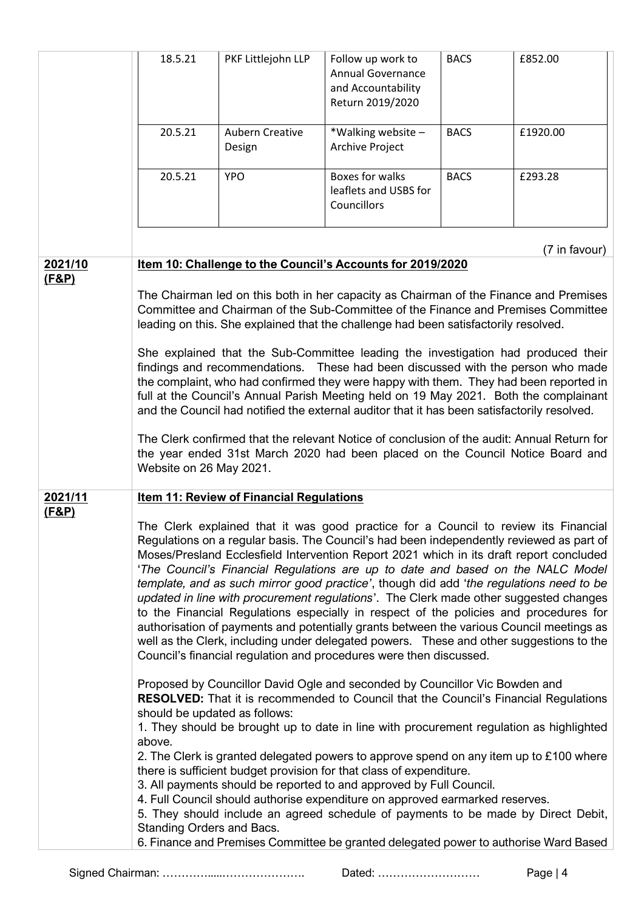|                             | 18.5.21                                                                                                                                                                                                                                                                                                                                                                                                                                                                                                                                                                                                                                                                                                                                                                                                                                                                                                                                                                                             | PKF Littlejohn LLP                              | Follow up work to<br><b>Annual Governance</b><br>and Accountability<br>Return 2019/2020                                                                                                                                                                                                                                                                                                                                                                                                                                                                                                                                                                                                                                                                                                                                                                                                                                                                                                                                                                                                                                                                                                                                                                                                                                                                                                                                                                                                                                                                                                                                                                                               | <b>BACS</b> | £852.00       |
|-----------------------------|-----------------------------------------------------------------------------------------------------------------------------------------------------------------------------------------------------------------------------------------------------------------------------------------------------------------------------------------------------------------------------------------------------------------------------------------------------------------------------------------------------------------------------------------------------------------------------------------------------------------------------------------------------------------------------------------------------------------------------------------------------------------------------------------------------------------------------------------------------------------------------------------------------------------------------------------------------------------------------------------------------|-------------------------------------------------|---------------------------------------------------------------------------------------------------------------------------------------------------------------------------------------------------------------------------------------------------------------------------------------------------------------------------------------------------------------------------------------------------------------------------------------------------------------------------------------------------------------------------------------------------------------------------------------------------------------------------------------------------------------------------------------------------------------------------------------------------------------------------------------------------------------------------------------------------------------------------------------------------------------------------------------------------------------------------------------------------------------------------------------------------------------------------------------------------------------------------------------------------------------------------------------------------------------------------------------------------------------------------------------------------------------------------------------------------------------------------------------------------------------------------------------------------------------------------------------------------------------------------------------------------------------------------------------------------------------------------------------------------------------------------------------|-------------|---------------|
|                             | 20.5.21                                                                                                                                                                                                                                                                                                                                                                                                                                                                                                                                                                                                                                                                                                                                                                                                                                                                                                                                                                                             | <b>Aubern Creative</b><br>Design                | *Walking website -<br><b>Archive Project</b>                                                                                                                                                                                                                                                                                                                                                                                                                                                                                                                                                                                                                                                                                                                                                                                                                                                                                                                                                                                                                                                                                                                                                                                                                                                                                                                                                                                                                                                                                                                                                                                                                                          | <b>BACS</b> | £1920.00      |
|                             | 20.5.21                                                                                                                                                                                                                                                                                                                                                                                                                                                                                                                                                                                                                                                                                                                                                                                                                                                                                                                                                                                             | <b>YPO</b>                                      | Boxes for walks<br>leaflets and USBS for<br>Councillors                                                                                                                                                                                                                                                                                                                                                                                                                                                                                                                                                                                                                                                                                                                                                                                                                                                                                                                                                                                                                                                                                                                                                                                                                                                                                                                                                                                                                                                                                                                                                                                                                               | <b>BACS</b> | £293.28       |
|                             |                                                                                                                                                                                                                                                                                                                                                                                                                                                                                                                                                                                                                                                                                                                                                                                                                                                                                                                                                                                                     |                                                 |                                                                                                                                                                                                                                                                                                                                                                                                                                                                                                                                                                                                                                                                                                                                                                                                                                                                                                                                                                                                                                                                                                                                                                                                                                                                                                                                                                                                                                                                                                                                                                                                                                                                                       |             | (7 in favour) |
| 2021/10<br>(F&P)            | Item 10: Challenge to the Council's Accounts for 2019/2020<br>The Chairman led on this both in her capacity as Chairman of the Finance and Premises<br>Committee and Chairman of the Sub-Committee of the Finance and Premises Committee<br>leading on this. She explained that the challenge had been satisfactorily resolved.<br>She explained that the Sub-Committee leading the investigation had produced their<br>findings and recommendations. These had been discussed with the person who made<br>the complaint, who had confirmed they were happy with them. They had been reported in<br>full at the Council's Annual Parish Meeting held on 19 May 2021. Both the complainant<br>and the Council had notified the external auditor that it has been satisfactorily resolved.<br>The Clerk confirmed that the relevant Notice of conclusion of the audit: Annual Return for<br>the year ended 31st March 2020 had been placed on the Council Notice Board and<br>Website on 26 May 2021. |                                                 |                                                                                                                                                                                                                                                                                                                                                                                                                                                                                                                                                                                                                                                                                                                                                                                                                                                                                                                                                                                                                                                                                                                                                                                                                                                                                                                                                                                                                                                                                                                                                                                                                                                                                       |             |               |
| 2021/11<br><u>(F&amp;P)</u> | should be updated as follows:<br>above.<br>Standing Orders and Bacs.                                                                                                                                                                                                                                                                                                                                                                                                                                                                                                                                                                                                                                                                                                                                                                                                                                                                                                                                | <b>Item 11: Review of Financial Regulations</b> | The Clerk explained that it was good practice for a Council to review its Financial<br>Regulations on a regular basis. The Council's had been independently reviewed as part of<br>Moses/Presland Ecclesfield Intervention Report 2021 which in its draft report concluded<br>'The Council's Financial Regulations are up to date and based on the NALC Model<br>template, and as such mirror good practice', though did add 'the regulations need to be<br>updated in line with procurement regulations'. The Clerk made other suggested changes<br>to the Financial Regulations especially in respect of the policies and procedures for<br>authorisation of payments and potentially grants between the various Council meetings as<br>well as the Clerk, including under delegated powers. These and other suggestions to the<br>Council's financial regulation and procedures were then discussed.<br>Proposed by Councillor David Ogle and seconded by Councillor Vic Bowden and<br><b>RESOLVED:</b> That it is recommended to Council that the Council's Financial Regulations<br>1. They should be brought up to date in line with procurement regulation as highlighted<br>2. The Clerk is granted delegated powers to approve spend on any item up to £100 where<br>there is sufficient budget provision for that class of expenditure.<br>3. All payments should be reported to and approved by Full Council.<br>4. Full Council should authorise expenditure on approved earmarked reserves.<br>5. They should include an agreed schedule of payments to be made by Direct Debit,<br>6. Finance and Premises Committee be granted delegated power to authorise Ward Based |             |               |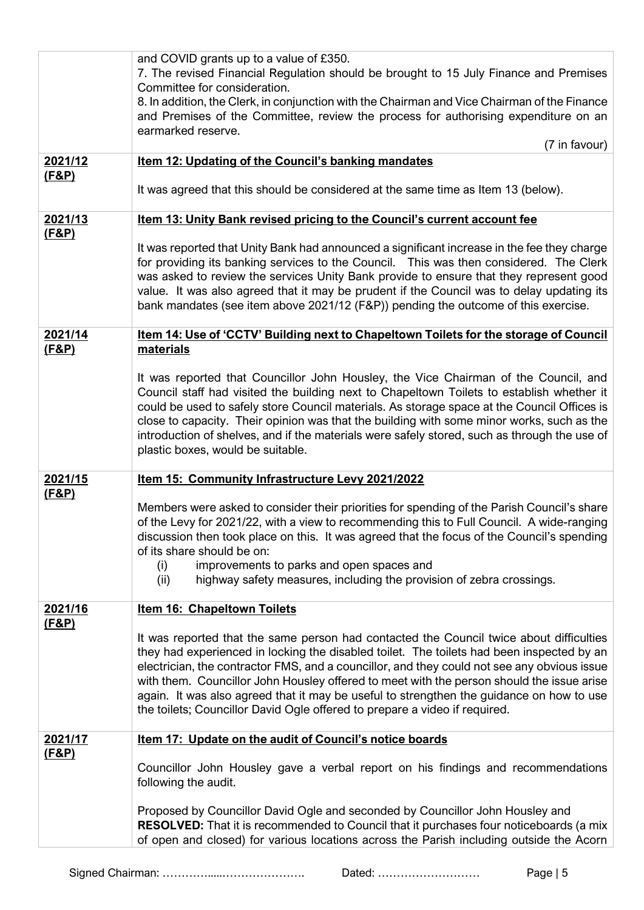|                  | and COVID grants up to a value of £350.                                                                                                                                                                                                                                                                                                                                                                                                                                                                                                                    |
|------------------|------------------------------------------------------------------------------------------------------------------------------------------------------------------------------------------------------------------------------------------------------------------------------------------------------------------------------------------------------------------------------------------------------------------------------------------------------------------------------------------------------------------------------------------------------------|
|                  | 7. The revised Financial Regulation should be brought to 15 July Finance and Premises<br>Committee for consideration.                                                                                                                                                                                                                                                                                                                                                                                                                                      |
|                  | 8. In addition, the Clerk, in conjunction with the Chairman and Vice Chairman of the Finance<br>and Premises of the Committee, review the process for authorising expenditure on an                                                                                                                                                                                                                                                                                                                                                                        |
|                  | earmarked reserve.<br>(7 in favour)                                                                                                                                                                                                                                                                                                                                                                                                                                                                                                                        |
| 2021/12          | <b>Item 12: Updating of the Council's banking mandates</b>                                                                                                                                                                                                                                                                                                                                                                                                                                                                                                 |
| <u>(F&amp;P)</u> | It was agreed that this should be considered at the same time as Item 13 (below).                                                                                                                                                                                                                                                                                                                                                                                                                                                                          |
| 2021/13          | Item 13: Unity Bank revised pricing to the Council's current account fee                                                                                                                                                                                                                                                                                                                                                                                                                                                                                   |
| <u>(F&amp;P)</u> | It was reported that Unity Bank had announced a significant increase in the fee they charge<br>for providing its banking services to the Council. This was then considered. The Clerk<br>was asked to review the services Unity Bank provide to ensure that they represent good<br>value. It was also agreed that it may be prudent if the Council was to delay updating its<br>bank mandates (see item above 2021/12 (F&P)) pending the outcome of this exercise.                                                                                         |
| 2021/14          | Item 14: Use of 'CCTV' Building next to Chapeltown Toilets for the storage of Council                                                                                                                                                                                                                                                                                                                                                                                                                                                                      |
| <u>(F&amp;P)</u> | materials                                                                                                                                                                                                                                                                                                                                                                                                                                                                                                                                                  |
|                  | It was reported that Councillor John Housley, the Vice Chairman of the Council, and<br>Council staff had visited the building next to Chapeltown Toilets to establish whether it<br>could be used to safely store Council materials. As storage space at the Council Offices is<br>close to capacity. Their opinion was that the building with some minor works, such as the<br>introduction of shelves, and if the materials were safely stored, such as through the use of<br>plastic boxes, would be suitable.                                          |
| 2021/15          | Item 15: Community Infrastructure Levy 2021/2022                                                                                                                                                                                                                                                                                                                                                                                                                                                                                                           |
| <u>(F&amp;P)</u> | Members were asked to consider their priorities for spending of the Parish Council's share<br>of the Levy for 2021/22, with a view to recommending this to Full Council. A wide-ranging<br>discussion then took place on this. It was agreed that the focus of the Council's spending<br>of its share should be on:<br>improvements to parks and open spaces and<br>(i)<br>highway safety measures, including the provision of zebra crossings.<br>(ii)                                                                                                    |
| 2021/16          | <b>Item 16: Chapeltown Toilets</b>                                                                                                                                                                                                                                                                                                                                                                                                                                                                                                                         |
| <u>(F&amp;P)</u> | It was reported that the same person had contacted the Council twice about difficulties<br>they had experienced in locking the disabled toilet. The toilets had been inspected by an<br>electrician, the contractor FMS, and a councillor, and they could not see any obvious issue<br>with them. Councillor John Housley offered to meet with the person should the issue arise<br>again. It was also agreed that it may be useful to strengthen the guidance on how to use<br>the toilets; Councillor David Ogle offered to prepare a video if required. |
| 2021/17          | Item 17: Update on the audit of Council's notice boards                                                                                                                                                                                                                                                                                                                                                                                                                                                                                                    |
| <u>(F&amp;P)</u> | Councillor John Housley gave a verbal report on his findings and recommendations<br>following the audit.                                                                                                                                                                                                                                                                                                                                                                                                                                                   |
|                  | Proposed by Councillor David Ogle and seconded by Councillor John Housley and<br><b>RESOLVED:</b> That it is recommended to Council that it purchases four noticeboards (a mix<br>of open and closed) for various locations across the Parish including outside the Acorn                                                                                                                                                                                                                                                                                  |